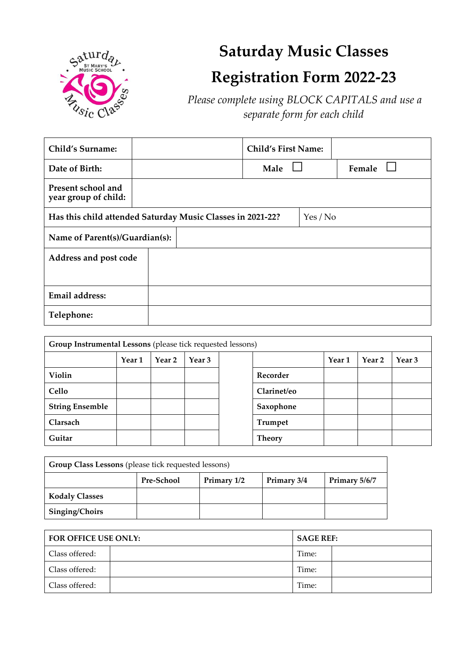

# **Saturday Music Classes Registration Form 2022-23**

*Please complete using BLOCK CAPITALS and use a separate form for each child*

| <b>Child's Surname:</b>                                                |  |  | <b>Child's First Name:</b> |  |        |
|------------------------------------------------------------------------|--|--|----------------------------|--|--------|
| Date of Birth:                                                         |  |  | Male                       |  | Female |
| Present school and<br>year group of child:                             |  |  |                            |  |        |
| Has this child attended Saturday Music Classes in 2021-22?<br>Yes / No |  |  |                            |  |        |
| Name of Parent(s)/Guardian(s):                                         |  |  |                            |  |        |
| Address and post code                                                  |  |  |                            |  |        |
|                                                                        |  |  |                            |  |        |
| <b>Email address:</b>                                                  |  |  |                            |  |        |
| Telephone:                                                             |  |  |                            |  |        |

| Group Instrumental Lessons (please tick requested lessons) |        |        |        |  |               |        |        |        |
|------------------------------------------------------------|--------|--------|--------|--|---------------|--------|--------|--------|
|                                                            | Year 1 | Year 2 | Year 3 |  |               | Year 1 | Year 2 | Year 3 |
| Violin                                                     |        |        |        |  | Recorder      |        |        |        |
| Cello                                                      |        |        |        |  | Clarinet/eo   |        |        |        |
| <b>String Ensemble</b>                                     |        |        |        |  | Saxophone     |        |        |        |
| Clarsach                                                   |        |        |        |  | Trumpet       |        |        |        |
| Guitar                                                     |        |        |        |  | <b>Theory</b> |        |        |        |

| Group Class Lessons (please tick requested lessons) |                   |             |             |               |  |
|-----------------------------------------------------|-------------------|-------------|-------------|---------------|--|
|                                                     | <b>Pre-School</b> | Primary 1/2 | Primary 3/4 | Primary 5/6/7 |  |
| <b>Kodaly Classes</b>                               |                   |             |             |               |  |
| Singing/Choirs                                      |                   |             |             |               |  |

| <b>FOR OFFICE USE ONLY:</b> |  | <b>SAGE REF:</b> |  |  |
|-----------------------------|--|------------------|--|--|
| Class offered:              |  | Time:            |  |  |
| Class offered:              |  | Time:            |  |  |
| Class offered:              |  | Time:            |  |  |